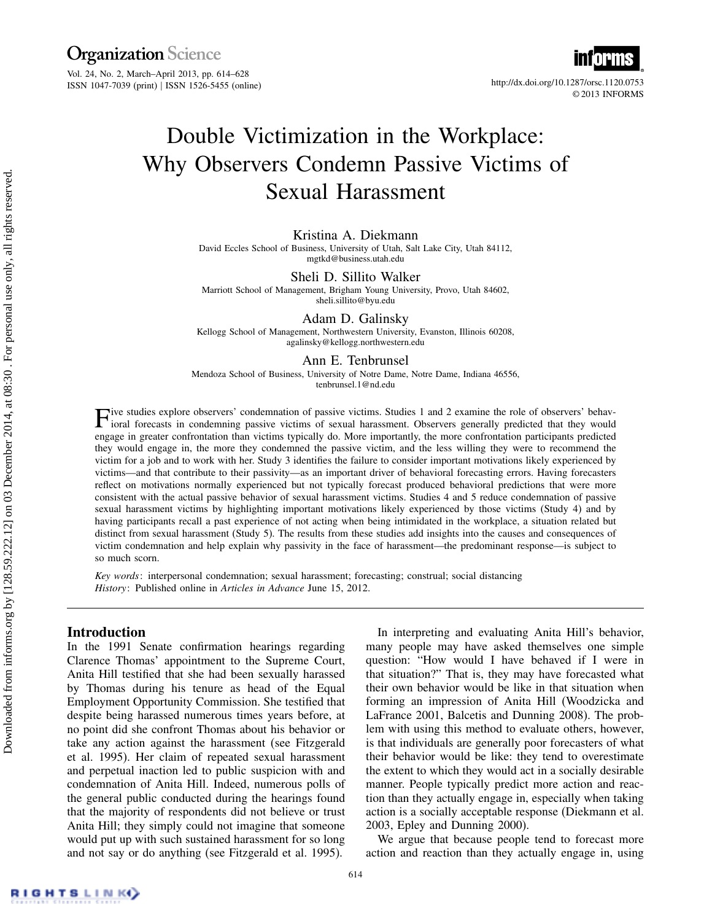**Vol. 24, No. 2, March–April 2013, pp. 614–628** ISSN 1047-7039 (print) ISSN 1526-5455 (online) http://dx.doi.org/10.1287/orsc.1120.0753



© 2013 INFORMS

# Double Victimization in the Workplace: Why Observers Condemn Passive Victims of Sexual Harassment

#### Kristina A. Diekmann

David Eccles School of Business, University of Utah, Salt Lake City, Utah 84112, mgtkd@business.utah.edu

Sheli D. Sillito Walker

Marriott School of Management, Brigham Young University, Provo, Utah 84602, sheli.sillito@byu.edu

Adam D. Galinsky Kellogg School of Management, Northwestern University, Evanston, Illinois 60208, agalinsky@kellogg.northwestern.edu

## Ann E. Tenbrunsel

Mendoza School of Business, University of Notre Dame, Notre Dame, Indiana 46556, tenbrunsel.1@nd.edu

Five studies explore observers' condemnation of passive victims. Studies 1 and 2 examine the role of observers' behav-<br>ioral forecasts in condemning passive victims of sexual harassment. Observers generally predicted that ioral forecasts in condemning passive victims of sexual harassment. Observers generally predicted that they would engage in greater confrontation than victims typically do. More importantly, the more confrontation participants predicted they would engage in, the more they condemned the passive victim, and the less willing they were to recommend the victim for a job and to work with her. Study 3 identifies the failure to consider important motivations likely experienced by victims—and that contribute to their passivity—as an important driver of behavioral forecasting errors. Having forecasters reflect on motivations normally experienced but not typically forecast produced behavioral predictions that were more consistent with the actual passive behavior of sexual harassment victims. Studies 4 and 5 reduce condemnation of passive sexual harassment victims by highlighting important motivations likely experienced by those victims (Study 4) and by having participants recall a past experience of not acting when being intimidated in the workplace, a situation related but distinct from sexual harassment (Study 5). The results from these studies add insights into the causes and consequences of victim condemnation and help explain why passivity in the face of harassment—the predominant response—is subject to so much scorn.

Key words: interpersonal condemnation; sexual harassment; forecasting; construal; social distancing History: Published online in Articles in Advance June 15, 2012.

# Introduction

In the 1991 Senate confirmation hearings regarding Clarence Thomas' appointment to the Supreme Court, Anita Hill testified that she had been sexually harassed by Thomas during his tenure as head of the Equal Employment Opportunity Commission. She testified that despite being harassed numerous times years before, at no point did she confront Thomas about his behavior or take any action against the harassment (see Fitzgerald et al. 1995). Her claim of repeated sexual harassment and perpetual inaction led to public suspicion with and condemnation of Anita Hill. Indeed, numerous polls of the general public conducted during the hearings found that the majority of respondents did not believe or trust Anita Hill; they simply could not imagine that someone would put up with such sustained harassment for so long and not say or do anything (see Fitzgerald et al. 1995).

In interpreting and evaluating Anita Hill's behavior, many people may have asked themselves one simple question: "How would I have behaved if I were in that situation?" That is, they may have forecasted what their own behavior would be like in that situation when forming an impression of Anita Hill (Woodzicka and LaFrance 2001, Balcetis and Dunning 2008). The problem with using this method to evaluate others, however, is that individuals are generally poor forecasters of what their behavior would be like: they tend to overestimate the extent to which they would act in a socially desirable manner. People typically predict more action and reaction than they actually engage in, especially when taking action is a socially acceptable response (Diekmann et al. 2003, Epley and Dunning 2000).

We argue that because people tend to forecast more action and reaction than they actually engage in, using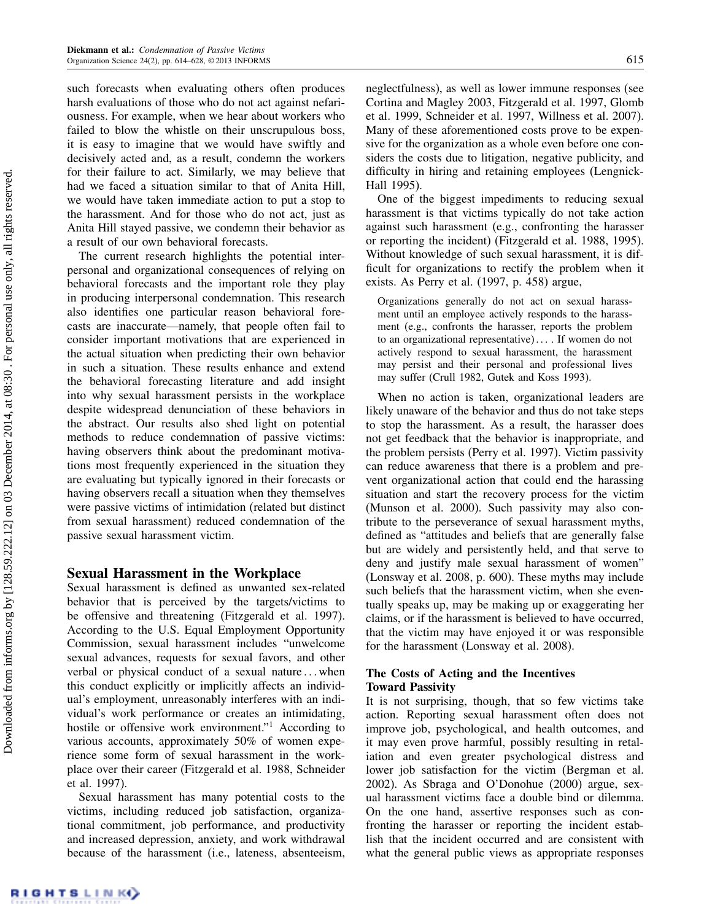such forecasts when evaluating others often produces harsh evaluations of those who do not act against nefariousness. For example, when we hear about workers who failed to blow the whistle on their unscrupulous boss, it is easy to imagine that we would have swiftly and decisively acted and, as a result, condemn the workers for their failure to act. Similarly, we may believe that had we faced a situation similar to that of Anita Hill, we would have taken immediate action to put a stop to the harassment. And for those who do not act, just as Anita Hill stayed passive, we condemn their behavior as a result of our own behavioral forecasts.

The current research highlights the potential interpersonal and organizational consequences of relying on behavioral forecasts and the important role they play in producing interpersonal condemnation. This research also identifies one particular reason behavioral forecasts are inaccurate—namely, that people often fail to consider important motivations that are experienced in the actual situation when predicting their own behavior in such a situation. These results enhance and extend the behavioral forecasting literature and add insight into why sexual harassment persists in the workplace despite widespread denunciation of these behaviors in the abstract. Our results also shed light on potential methods to reduce condemnation of passive victims: having observers think about the predominant motivations most frequently experienced in the situation they are evaluating but typically ignored in their forecasts or having observers recall a situation when they themselves were passive victims of intimidation (related but distinct from sexual harassment) reduced condemnation of the passive sexual harassment victim.

# Sexual Harassment in the Workplace

Sexual harassment is defined as unwanted sex-related behavior that is perceived by the targets/victims to be offensive and threatening (Fitzgerald et al. 1997). According to the U.S. Equal Employment Opportunity Commission, sexual harassment includes "unwelcome sexual advances, requests for sexual favors, and other verbal or physical conduct of a sexual nature... when this conduct explicitly or implicitly affects an individual's employment, unreasonably interferes with an individual's work performance or creates an intimidating, hostile or offensive work environment."<sup>1</sup> According to various accounts, approximately 50% of women experience some form of sexual harassment in the workplace over their career (Fitzgerald et al. 1988, Schneider et al. 1997).

Sexual harassment has many potential costs to the victims, including reduced job satisfaction, organizational commitment, job performance, and productivity and increased depression, anxiety, and work withdrawal because of the harassment (i.e., lateness, absenteeism, neglectfulness), as well as lower immune responses (see Cortina and Magley 2003, Fitzgerald et al. 1997, Glomb et al. 1999, Schneider et al. 1997, Willness et al. 2007). Many of these aforementioned costs prove to be expensive for the organization as a whole even before one considers the costs due to litigation, negative publicity, and difficulty in hiring and retaining employees (Lengnick-Hall 1995).

One of the biggest impediments to reducing sexual harassment is that victims typically do not take action against such harassment (e.g., confronting the harasser or reporting the incident) (Fitzgerald et al. 1988, 1995). Without knowledge of such sexual harassment, it is difficult for organizations to rectify the problem when it exists. As Perry et al. (1997, p. 458) argue,

Organizations generally do not act on sexual harassment until an employee actively responds to the harassment (e.g., confronts the harasser, reports the problem to an organizational representative $\ldots$ . If women do not actively respond to sexual harassment, the harassment may persist and their personal and professional lives may suffer (Crull 1982, Gutek and Koss 1993).

When no action is taken, organizational leaders are likely unaware of the behavior and thus do not take steps to stop the harassment. As a result, the harasser does not get feedback that the behavior is inappropriate, and the problem persists (Perry et al. 1997). Victim passivity can reduce awareness that there is a problem and prevent organizational action that could end the harassing situation and start the recovery process for the victim (Munson et al. 2000). Such passivity may also contribute to the perseverance of sexual harassment myths, defined as "attitudes and beliefs that are generally false but are widely and persistently held, and that serve to deny and justify male sexual harassment of women" (Lonsway et al. 2008, p. 600). These myths may include such beliefs that the harassment victim, when she eventually speaks up, may be making up or exaggerating her claims, or if the harassment is believed to have occurred, that the victim may have enjoyed it or was responsible for the harassment (Lonsway et al. 2008).

# The Costs of Acting and the Incentives Toward Passivity

It is not surprising, though, that so few victims take action. Reporting sexual harassment often does not improve job, psychological, and health outcomes, and it may even prove harmful, possibly resulting in retaliation and even greater psychological distress and lower job satisfaction for the victim (Bergman et al. 2002). As Sbraga and O'Donohue (2000) argue, sexual harassment victims face a double bind or dilemma. On the one hand, assertive responses such as confronting the harasser or reporting the incident establish that the incident occurred and are consistent with what the general public views as appropriate responses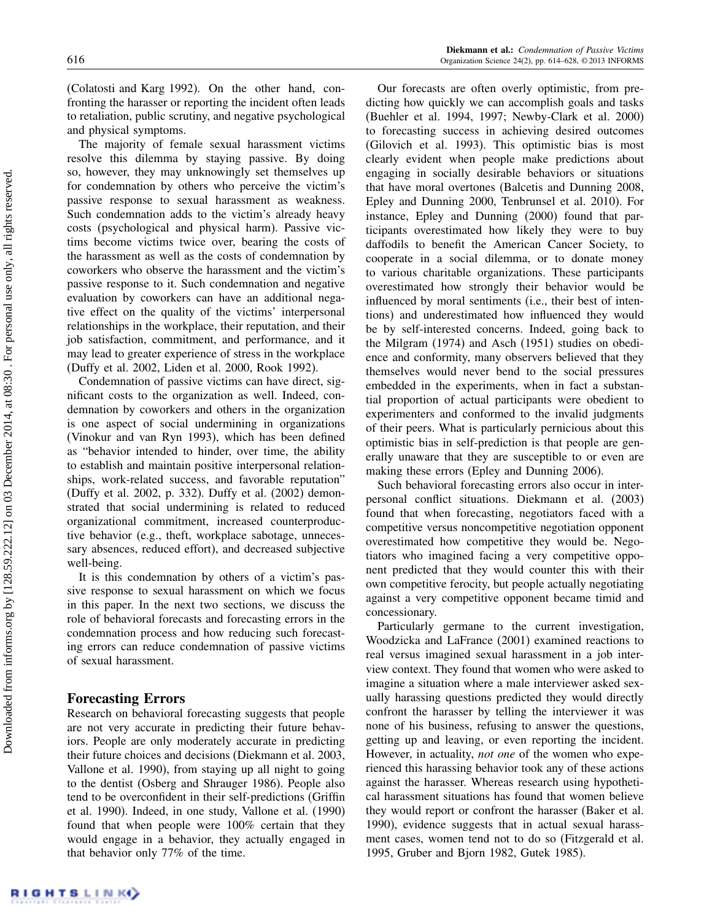(Colatosti and Karg 1992). On the other hand, confronting the harasser or reporting the incident often leads to retaliation, public scrutiny, and negative psychological and physical symptoms.

The majority of female sexual harassment victims resolve this dilemma by staying passive. By doing so, however, they may unknowingly set themselves up for condemnation by others who perceive the victim's passive response to sexual harassment as weakness. Such condemnation adds to the victim's already heavy costs (psychological and physical harm). Passive victims become victims twice over, bearing the costs of the harassment as well as the costs of condemnation by coworkers who observe the harassment and the victim's passive response to it. Such condemnation and negative evaluation by coworkers can have an additional negative effect on the quality of the victims' interpersonal relationships in the workplace, their reputation, and their job satisfaction, commitment, and performance, and it may lead to greater experience of stress in the workplace (Duffy et al. 2002, Liden et al. 2000, Rook 1992).

Condemnation of passive victims can have direct, significant costs to the organization as well. Indeed, condemnation by coworkers and others in the organization is one aspect of social undermining in organizations (Vinokur and van Ryn 1993), which has been defined as "behavior intended to hinder, over time, the ability to establish and maintain positive interpersonal relationships, work-related success, and favorable reputation" (Duffy et al. 2002, p. 332). Duffy et al. (2002) demonstrated that social undermining is related to reduced organizational commitment, increased counterproductive behavior (e.g., theft, workplace sabotage, unnecessary absences, reduced effort), and decreased subjective well-being.

It is this condemnation by others of a victim's passive response to sexual harassment on which we focus in this paper. In the next two sections, we discuss the role of behavioral forecasts and forecasting errors in the condemnation process and how reducing such forecasting errors can reduce condemnation of passive victims of sexual harassment.

# Forecasting Errors

Research on behavioral forecasting suggests that people are not very accurate in predicting their future behaviors. People are only moderately accurate in predicting their future choices and decisions (Diekmann et al. 2003, Vallone et al. 1990), from staying up all night to going to the dentist (Osberg and Shrauger 1986). People also tend to be overconfident in their self-predictions (Griffin et al. 1990). Indeed, in one study, Vallone et al. (1990) found that when people were 100% certain that they would engage in a behavior, they actually engaged in that behavior only 77% of the time.

Our forecasts are often overly optimistic, from predicting how quickly we can accomplish goals and tasks (Buehler et al. 1994, 1997; Newby-Clark et al. 2000) to forecasting success in achieving desired outcomes (Gilovich et al. 1993). This optimistic bias is most clearly evident when people make predictions about engaging in socially desirable behaviors or situations that have moral overtones (Balcetis and Dunning 2008, Epley and Dunning 2000, Tenbrunsel et al. 2010). For instance, Epley and Dunning (2000) found that participants overestimated how likely they were to buy daffodils to benefit the American Cancer Society, to cooperate in a social dilemma, or to donate money to various charitable organizations. These participants overestimated how strongly their behavior would be influenced by moral sentiments (i.e., their best of intentions) and underestimated how influenced they would be by self-interested concerns. Indeed, going back to the Milgram (1974) and Asch (1951) studies on obedience and conformity, many observers believed that they themselves would never bend to the social pressures embedded in the experiments, when in fact a substantial proportion of actual participants were obedient to experimenters and conformed to the invalid judgments of their peers. What is particularly pernicious about this optimistic bias in self-prediction is that people are generally unaware that they are susceptible to or even are making these errors (Epley and Dunning 2006).

Such behavioral forecasting errors also occur in interpersonal conflict situations. Diekmann et al. (2003) found that when forecasting, negotiators faced with a competitive versus noncompetitive negotiation opponent overestimated how competitive they would be. Negotiators who imagined facing a very competitive opponent predicted that they would counter this with their own competitive ferocity, but people actually negotiating against a very competitive opponent became timid and concessionary.

Particularly germane to the current investigation, Woodzicka and LaFrance (2001) examined reactions to real versus imagined sexual harassment in a job interview context. They found that women who were asked to imagine a situation where a male interviewer asked sexually harassing questions predicted they would directly confront the harasser by telling the interviewer it was none of his business, refusing to answer the questions, getting up and leaving, or even reporting the incident. However, in actuality, not one of the women who experienced this harassing behavior took any of these actions against the harasser. Whereas research using hypothetical harassment situations has found that women believe they would report or confront the harasser (Baker et al. 1990), evidence suggests that in actual sexual harassment cases, women tend not to do so (Fitzgerald et al. 1995, Gruber and Bjorn 1982, Gutek 1985).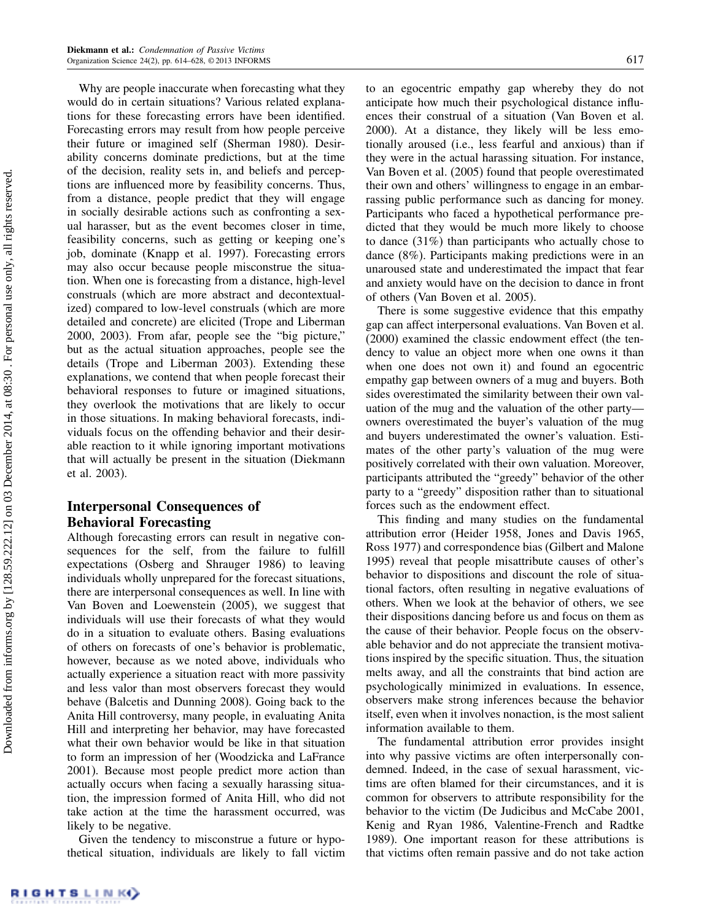Why are people inaccurate when forecasting what they would do in certain situations? Various related explanations for these forecasting errors have been identified. Forecasting errors may result from how people perceive their future or imagined self (Sherman 1980). Desirability concerns dominate predictions, but at the time of the decision, reality sets in, and beliefs and perceptions are influenced more by feasibility concerns. Thus, from a distance, people predict that they will engage in socially desirable actions such as confronting a sexual harasser, but as the event becomes closer in time, feasibility concerns, such as getting or keeping one's job, dominate (Knapp et al. 1997). Forecasting errors may also occur because people misconstrue the situation. When one is forecasting from a distance, high-level construals (which are more abstract and decontextualized) compared to low-level construals (which are more detailed and concrete) are elicited (Trope and Liberman 2000, 2003). From afar, people see the "big picture," but as the actual situation approaches, people see the details (Trope and Liberman 2003). Extending these explanations, we contend that when people forecast their behavioral responses to future or imagined situations, they overlook the motivations that are likely to occur in those situations. In making behavioral forecasts, individuals focus on the offending behavior and their desirable reaction to it while ignoring important motivations that will actually be present in the situation (Diekmann et al. 2003).

# Interpersonal Consequences of Behavioral Forecasting

Although forecasting errors can result in negative consequences for the self, from the failure to fulfill expectations (Osberg and Shrauger 1986) to leaving individuals wholly unprepared for the forecast situations, there are interpersonal consequences as well. In line with Van Boven and Loewenstein (2005), we suggest that individuals will use their forecasts of what they would do in a situation to evaluate others. Basing evaluations of others on forecasts of one's behavior is problematic, however, because as we noted above, individuals who actually experience a situation react with more passivity and less valor than most observers forecast they would behave (Balcetis and Dunning 2008). Going back to the Anita Hill controversy, many people, in evaluating Anita Hill and interpreting her behavior, may have forecasted what their own behavior would be like in that situation to form an impression of her (Woodzicka and LaFrance 2001). Because most people predict more action than actually occurs when facing a sexually harassing situation, the impression formed of Anita Hill, who did not take action at the time the harassment occurred, was likely to be negative.

Given the tendency to misconstrue a future or hypothetical situation, individuals are likely to fall victim anticipate how much their psychological distance influences their construal of a situation (Van Boven et al. 2000). At a distance, they likely will be less emotionally aroused (i.e., less fearful and anxious) than if they were in the actual harassing situation. For instance, Van Boven et al. (2005) found that people overestimated their own and others' willingness to engage in an embarrassing public performance such as dancing for money. Participants who faced a hypothetical performance predicted that they would be much more likely to choose to dance (31%) than participants who actually chose to dance (8%). Participants making predictions were in an unaroused state and underestimated the impact that fear and anxiety would have on the decision to dance in front of others (Van Boven et al. 2005).

There is some suggestive evidence that this empathy gap can affect interpersonal evaluations. Van Boven et al. (2000) examined the classic endowment effect (the tendency to value an object more when one owns it than when one does not own it) and found an egocentric empathy gap between owners of a mug and buyers. Both sides overestimated the similarity between their own valuation of the mug and the valuation of the other party owners overestimated the buyer's valuation of the mug and buyers underestimated the owner's valuation. Estimates of the other party's valuation of the mug were positively correlated with their own valuation. Moreover, participants attributed the "greedy" behavior of the other party to a "greedy" disposition rather than to situational forces such as the endowment effect.

This finding and many studies on the fundamental attribution error (Heider 1958, Jones and Davis 1965, Ross 1977) and correspondence bias (Gilbert and Malone 1995) reveal that people misattribute causes of other's behavior to dispositions and discount the role of situational factors, often resulting in negative evaluations of others. When we look at the behavior of others, we see their dispositions dancing before us and focus on them as the cause of their behavior. People focus on the observable behavior and do not appreciate the transient motivations inspired by the specific situation. Thus, the situation melts away, and all the constraints that bind action are psychologically minimized in evaluations. In essence, observers make strong inferences because the behavior itself, even when it involves nonaction, is the most salient information available to them.

The fundamental attribution error provides insight into why passive victims are often interpersonally condemned. Indeed, in the case of sexual harassment, victims are often blamed for their circumstances, and it is common for observers to attribute responsibility for the behavior to the victim (De Judicibus and McCabe 2001, Kenig and Ryan 1986, Valentine-French and Radtke 1989). One important reason for these attributions is that victims often remain passive and do not take action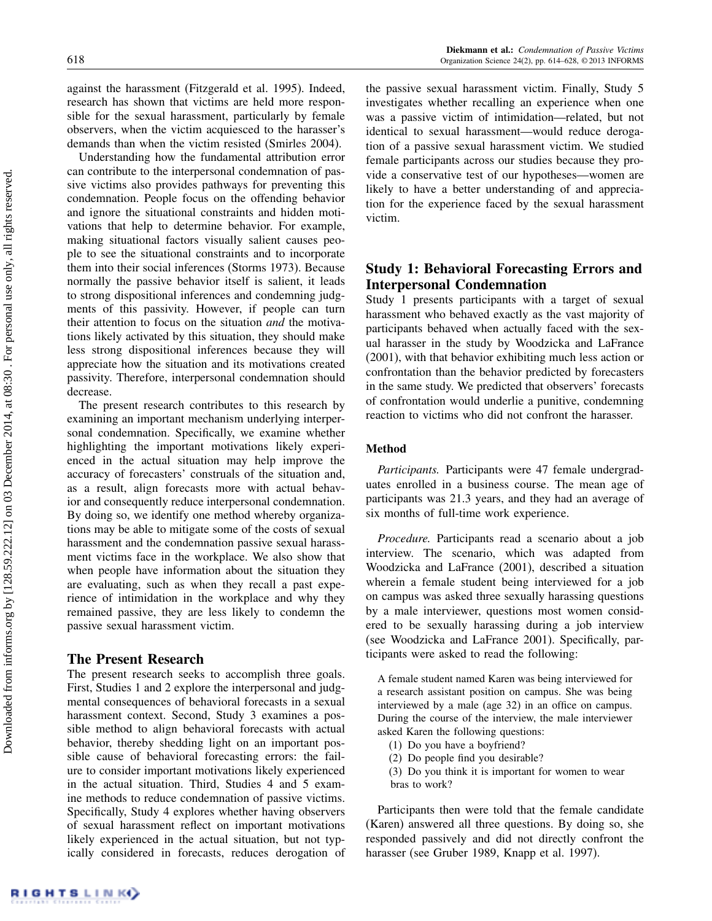against the harassment (Fitzgerald et al. 1995). Indeed, research has shown that victims are held more responsible for the sexual harassment, particularly by female observers, when the victim acquiesced to the harasser's demands than when the victim resisted (Smirles 2004).

Understanding how the fundamental attribution error can contribute to the interpersonal condemnation of passive victims also provides pathways for preventing this condemnation. People focus on the offending behavior and ignore the situational constraints and hidden motivations that help to determine behavior. For example, making situational factors visually salient causes people to see the situational constraints and to incorporate them into their social inferences (Storms 1973). Because normally the passive behavior itself is salient, it leads to strong dispositional inferences and condemning judgments of this passivity. However, if people can turn their attention to focus on the situation and the motivations likely activated by this situation, they should make less strong dispositional inferences because they will appreciate how the situation and its motivations created passivity. Therefore, interpersonal condemnation should decrease.

The present research contributes to this research by examining an important mechanism underlying interpersonal condemnation. Specifically, we examine whether highlighting the important motivations likely experienced in the actual situation may help improve the accuracy of forecasters' construals of the situation and, as a result, align forecasts more with actual behavior and consequently reduce interpersonal condemnation. By doing so, we identify one method whereby organizations may be able to mitigate some of the costs of sexual harassment and the condemnation passive sexual harassment victims face in the workplace. We also show that when people have information about the situation they are evaluating, such as when they recall a past experience of intimidation in the workplace and why they remained passive, they are less likely to condemn the passive sexual harassment victim.

# The Present Research

The present research seeks to accomplish three goals. First, Studies 1 and 2 explore the interpersonal and judgmental consequences of behavioral forecasts in a sexual harassment context. Second, Study 3 examines a possible method to align behavioral forecasts with actual behavior, thereby shedding light on an important possible cause of behavioral forecasting errors: the failure to consider important motivations likely experienced in the actual situation. Third, Studies 4 and 5 examine methods to reduce condemnation of passive victims. Specifically, Study 4 explores whether having observers of sexual harassment reflect on important motivations likely experienced in the actual situation, but not typically considered in forecasts, reduces derogation of the passive sexual harassment victim. Finally, Study 5 investigates whether recalling an experience when one was a passive victim of intimidation—related, but not identical to sexual harassment—would reduce derogation of a passive sexual harassment victim. We studied female participants across our studies because they provide a conservative test of our hypotheses—women are likely to have a better understanding of and appreciation for the experience faced by the sexual harassment victim.

# Study 1: Behavioral Forecasting Errors and Interpersonal Condemnation

Study 1 presents participants with a target of sexual harassment who behaved exactly as the vast majority of participants behaved when actually faced with the sexual harasser in the study by Woodzicka and LaFrance (2001), with that behavior exhibiting much less action or confrontation than the behavior predicted by forecasters in the same study. We predicted that observers' forecasts of confrontation would underlie a punitive, condemning reaction to victims who did not confront the harasser.

## Method

Participants. Participants were 47 female undergraduates enrolled in a business course. The mean age of participants was 21.3 years, and they had an average of six months of full-time work experience.

Procedure. Participants read a scenario about a job interview. The scenario, which was adapted from Woodzicka and LaFrance (2001), described a situation wherein a female student being interviewed for a job on campus was asked three sexually harassing questions by a male interviewer, questions most women considered to be sexually harassing during a job interview (see Woodzicka and LaFrance 2001). Specifically, participants were asked to read the following:

A female student named Karen was being interviewed for a research assistant position on campus. She was being interviewed by a male (age 32) in an office on campus. During the course of the interview, the male interviewer asked Karen the following questions:

- (1) Do you have a boyfriend?
- (2) Do people find you desirable?
- (3) Do you think it is important for women to wear bras to work?

Participants then were told that the female candidate (Karen) answered all three questions. By doing so, she responded passively and did not directly confront the harasser (see Gruber 1989, Knapp et al. 1997).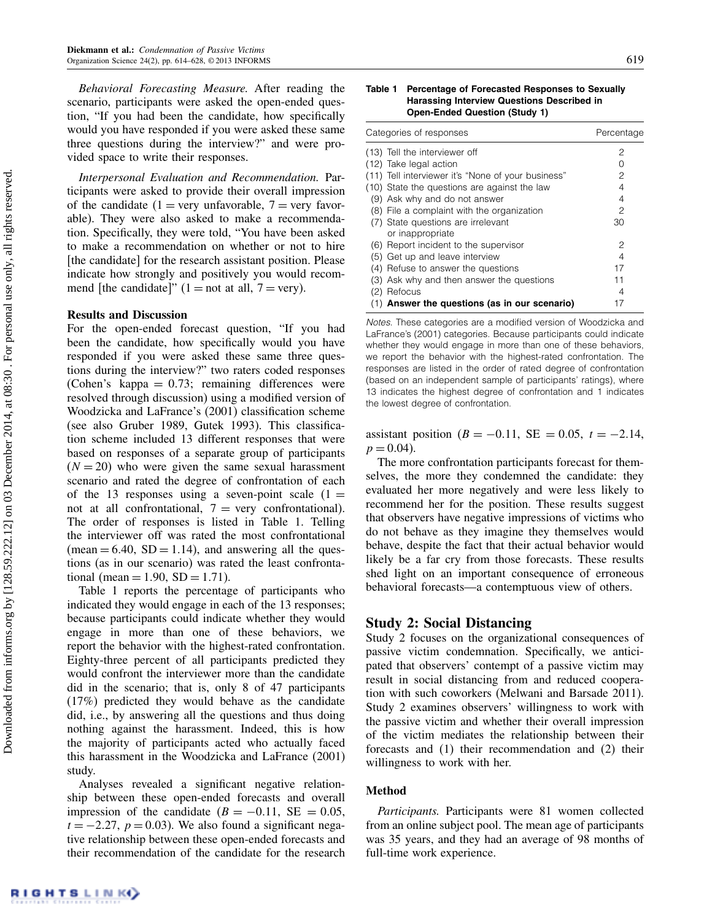Behavioral Forecasting Measure. After reading the scenario, participants were asked the open-ended question, "If you had been the candidate, how specifically would you have responded if you were asked these same three questions during the interview?" and were provided space to write their responses.

Interpersonal Evaluation and Recommendation. Participants were asked to provide their overall impression of the candidate  $(1 = \text{very}$  unfavorable,  $7 = \text{very}$  favorable). They were also asked to make a recommendation. Specifically, they were told, "You have been asked to make a recommendation on whether or not to hire [the candidate] for the research assistant position. Please indicate how strongly and positively you would recommend [the candidate]"  $(1 = not at all, 7 = very)$ .

## Results and Discussion

For the open-ended forecast question, "If you had been the candidate, how specifically would you have responded if you were asked these same three questions during the interview?" two raters coded responses (Cohen's kappa  $= 0.73$ ; remaining differences were resolved through discussion) using a modified version of Woodzicka and LaFrance's (2001) classification scheme (see also Gruber 1989, Gutek 1993). This classification scheme included 13 different responses that were based on responses of a separate group of participants  $(N = 20)$  who were given the same sexual harassment scenario and rated the degree of confrontation of each of the 13 responses using a seven-point scale  $(1 =$ not at all confrontational,  $7 = \text{very confrontational}$ . The order of responses is listed in Table 1. Telling the interviewer off was rated the most confrontational  $(\text{mean} = 6.40, SD = 1.14)$ , and answering all the questions (as in our scenario) was rated the least confrontational (mean = 1.90,  $SD = 1.71$ ).

Table 1 reports the percentage of participants who indicated they would engage in each of the 13 responses; because participants could indicate whether they would engage in more than one of these behaviors, we report the behavior with the highest-rated confrontation. Eighty-three percent of all participants predicted they would confront the interviewer more than the candidate did in the scenario; that is, only 8 of 47 participants (17%) predicted they would behave as the candidate did, i.e., by answering all the questions and thus doing nothing against the harassment. Indeed, this is how the majority of participants acted who actually faced this harassment in the Woodzicka and LaFrance (2001) study.

Analyses revealed a significant negative relationship between these open-ended forecasts and overall impression of the candidate  $(B = -0.11, \text{ SE } = 0.05,$  $t = -2.27$ ,  $p = 0.03$ ). We also found a significant negative relationship between these open-ended forecasts and their recommendation of the candidate for the research

#### Table 1 Percentage of Forecasted Responses to Sexually Harassing Interview Questions Described in Open-Ended Question (Study 1)

| Categories of responses                            | Percentage |  |
|----------------------------------------------------|------------|--|
| (13) Tell the interviewer off                      | 2          |  |
| (12) Take legal action                             | 0          |  |
| (11) Tell interviewer it's "None of your business" | 2          |  |
| (10) State the questions are against the law       | 4          |  |
| (9) Ask why and do not answer                      | 4          |  |
| (8) File a complaint with the organization         | 2          |  |
| (7) State questions are irrelevant                 | 30         |  |
| or inappropriate                                   |            |  |
| (6) Report incident to the supervisor              | 2          |  |
| (5) Get up and leave interview                     | 4          |  |
| (4) Refuse to answer the questions                 | 17         |  |
| (3) Ask why and then answer the questions          | 11         |  |
| (2) Refocus                                        | 4          |  |
| $(1)$ Answer the questions (as in our scenario)    | 17         |  |

Notes. These categories are a modified version of Woodzicka and LaFrance's (2001) categories. Because participants could indicate whether they would engage in more than one of these behaviors, we report the behavior with the highest-rated confrontation. The responses are listed in the order of rated degree of confrontation (based on an independent sample of participants' ratings), where 13 indicates the highest degree of confrontation and 1 indicates the lowest degree of confrontation.

assistant position ( $B = -0.11$ , SE = 0.05,  $t = -2.14$ ,  $p = 0.04$ ).

The more confrontation participants forecast for themselves, the more they condemned the candidate: they evaluated her more negatively and were less likely to recommend her for the position. These results suggest that observers have negative impressions of victims who do not behave as they imagine they themselves would behave, despite the fact that their actual behavior would likely be a far cry from those forecasts. These results shed light on an important consequence of erroneous behavioral forecasts—a contemptuous view of others.

# Study 2: Social Distancing

Study 2 focuses on the organizational consequences of passive victim condemnation. Specifically, we anticipated that observers' contempt of a passive victim may result in social distancing from and reduced cooperation with such coworkers (Melwani and Barsade 2011). Study 2 examines observers' willingness to work with the passive victim and whether their overall impression of the victim mediates the relationship between their forecasts and (1) their recommendation and (2) their willingness to work with her.

#### Method

Participants. Participants were 81 women collected from an online subject pool. The mean age of participants was 35 years, and they had an average of 98 months of full-time work experience.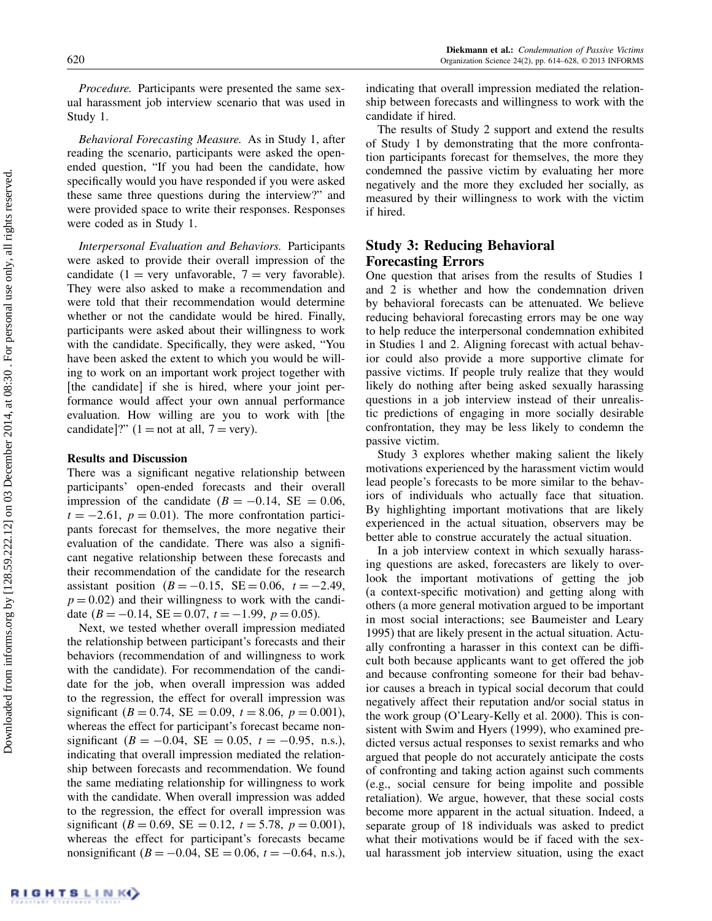Procedure. Participants were presented the same sexual harassment job interview scenario that was used in Study 1.

Behavioral Forecasting Measure. As in Study 1, after reading the scenario, participants were asked the openended question, "If you had been the candidate, how specifically would you have responded if you were asked these same three questions during the interview?" and were provided space to write their responses. Responses were coded as in Study 1.

Interpersonal Evaluation and Behaviors. Participants were asked to provide their overall impression of the candidate (1 = very unfavorable, 7 = very favorable). They were also asked to make a recommendation and were told that their recommendation would determine whether or not the candidate would be hired. Finally, participants were asked about their willingness to work with the candidate. Specifically, they were asked, "You have been asked the extent to which you would be willing to work on an important work project together with [the candidate] if she is hired, where your joint performance would affect your own annual performance evaluation. How willing are you to work with [the candidate]?"  $(1 = not at all, 7 = very)$ .

## Results and Discussion

There was a significant negative relationship between participants' open-ended forecasts and their overall impression of the candidate  $(B = -0.14, \text{ SE } = 0.06,$  $t = -2.61$ ,  $p = 0.01$ ). The more confrontation participants forecast for themselves, the more negative their evaluation of the candidate. There was also a significant negative relationship between these forecasts and their recommendation of the candidate for the research assistant position  $(B = -0.15, \text{ SE} = 0.06, t = -2.49,$  $p = 0.02$ ) and their willingness to work with the candidate  $(B = -0.14, SE = 0.07, t = -1.99, p = 0.05)$ .

Next, we tested whether overall impression mediated the relationship between participant's forecasts and their behaviors (recommendation of and willingness to work with the candidate). For recommendation of the candidate for the job, when overall impression was added to the regression, the effect for overall impression was significant ( $B = 0.74$ , SE = 0.09,  $t = 8.06$ ,  $p = 0.001$ ), whereas the effect for participant's forecast became nonsignificant ( $B = -0.04$ , SE = 0.05,  $t = -0.95$ , n.s.), indicating that overall impression mediated the relationship between forecasts and recommendation. We found the same mediating relationship for willingness to work with the candidate. When overall impression was added to the regression, the effect for overall impression was significant ( $B = 0.69$ , SE = 0.12,  $t = 5.78$ ,  $p = 0.001$ ), whereas the effect for participant's forecasts became nonsignificant ( $B = -0.04$ , SE = 0.06,  $t = -0.64$ , n.s.),

indicating that overall impression mediated the relationship between forecasts and willingness to work with the candidate if hired.

The results of Study 2 support and extend the results of Study 1 by demonstrating that the more confrontation participants forecast for themselves, the more they condemned the passive victim by evaluating her more negatively and the more they excluded her socially, as measured by their willingness to work with the victim if hired.

# Study 3: Reducing Behavioral Forecasting Errors

One question that arises from the results of Studies 1 and 2 is whether and how the condemnation driven by behavioral forecasts can be attenuated. We believe reducing behavioral forecasting errors may be one way to help reduce the interpersonal condemnation exhibited in Studies 1 and 2. Aligning forecast with actual behavior could also provide a more supportive climate for passive victims. If people truly realize that they would likely do nothing after being asked sexually harassing questions in a job interview instead of their unrealistic predictions of engaging in more socially desirable confrontation, they may be less likely to condemn the passive victim.

Study 3 explores whether making salient the likely motivations experienced by the harassment victim would lead people's forecasts to be more similar to the behaviors of individuals who actually face that situation. By highlighting important motivations that are likely experienced in the actual situation, observers may be better able to construe accurately the actual situation.

In a job interview context in which sexually harassing questions are asked, forecasters are likely to overlook the important motivations of getting the job (a context-specific motivation) and getting along with others (a more general motivation argued to be important in most social interactions; see Baumeister and Leary 1995) that are likely present in the actual situation. Actually confronting a harasser in this context can be difficult both because applicants want to get offered the job and because confronting someone for their bad behavior causes a breach in typical social decorum that could negatively affect their reputation and/or social status in the work group (O'Leary-Kelly et al. 2000). This is consistent with Swim and Hyers (1999), who examined predicted versus actual responses to sexist remarks and who argued that people do not accurately anticipate the costs of confronting and taking action against such comments (e.g., social censure for being impolite and possible retaliation). We argue, however, that these social costs become more apparent in the actual situation. Indeed, a separate group of 18 individuals was asked to predict what their motivations would be if faced with the sexual harassment job interview situation, using the exact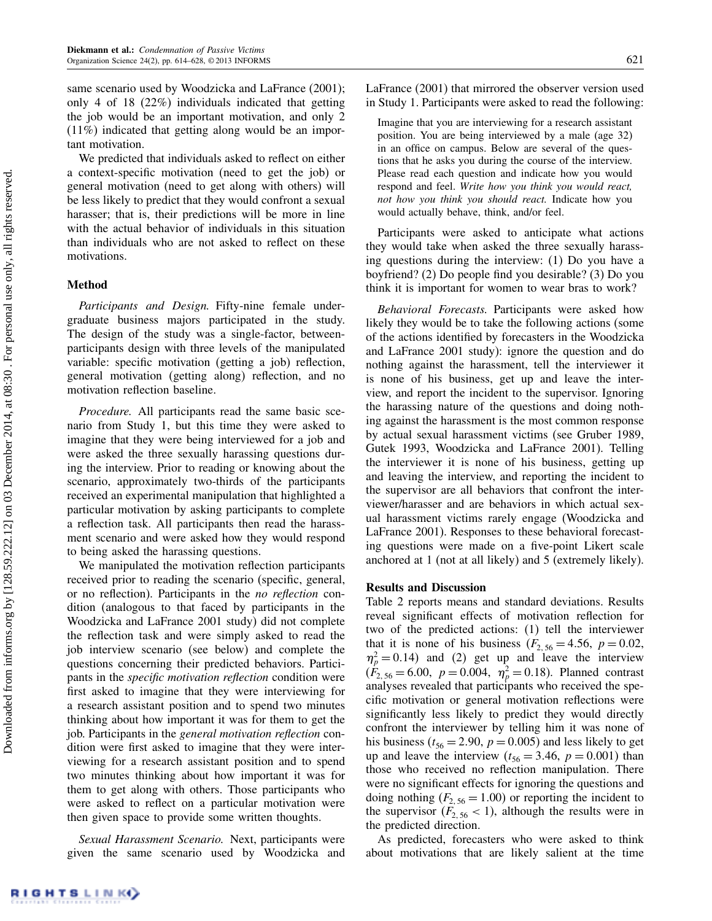same scenario used by Woodzicka and LaFrance (2001); only 4 of 18 (22%) individuals indicated that getting the job would be an important motivation, and only 2 (11%) indicated that getting along would be an important motivation.

We predicted that individuals asked to reflect on either a context-specific motivation (need to get the job) or general motivation (need to get along with others) will be less likely to predict that they would confront a sexual harasser; that is, their predictions will be more in line with the actual behavior of individuals in this situation than individuals who are not asked to reflect on these motivations.

# Method

Participants and Design. Fifty-nine female undergraduate business majors participated in the study. The design of the study was a single-factor, betweenparticipants design with three levels of the manipulated variable: specific motivation (getting a job) reflection, general motivation (getting along) reflection, and no motivation reflection baseline.

Procedure. All participants read the same basic scenario from Study 1, but this time they were asked to imagine that they were being interviewed for a job and were asked the three sexually harassing questions during the interview. Prior to reading or knowing about the scenario, approximately two-thirds of the participants received an experimental manipulation that highlighted a particular motivation by asking participants to complete a reflection task. All participants then read the harassment scenario and were asked how they would respond to being asked the harassing questions.

We manipulated the motivation reflection participants received prior to reading the scenario (specific, general, or no reflection). Participants in the no reflection condition (analogous to that faced by participants in the Woodzicka and LaFrance 2001 study) did not complete the reflection task and were simply asked to read the job interview scenario (see below) and complete the questions concerning their predicted behaviors. Participants in the specific motivation reflection condition were first asked to imagine that they were interviewing for a research assistant position and to spend two minutes thinking about how important it was for them to get the job. Participants in the general motivation reflection condition were first asked to imagine that they were interviewing for a research assistant position and to spend two minutes thinking about how important it was for them to get along with others. Those participants who were asked to reflect on a particular motivation were then given space to provide some written thoughts.

Sexual Harassment Scenario. Next, participants were given the same scenario used by Woodzicka and LaFrance (2001) that mirrored the observer version used in Study 1. Participants were asked to read the following:

Imagine that you are interviewing for a research assistant position. You are being interviewed by a male (age 32) in an office on campus. Below are several of the questions that he asks you during the course of the interview. Please read each question and indicate how you would respond and feel. Write how you think you would react, not how you think you should react. Indicate how you would actually behave, think, and/or feel.

Participants were asked to anticipate what actions they would take when asked the three sexually harassing questions during the interview: (1) Do you have a boyfriend? (2) Do people find you desirable? (3) Do you think it is important for women to wear bras to work?

Behavioral Forecasts. Participants were asked how likely they would be to take the following actions (some of the actions identified by forecasters in the Woodzicka and LaFrance 2001 study): ignore the question and do nothing against the harassment, tell the interviewer it is none of his business, get up and leave the interview, and report the incident to the supervisor. Ignoring the harassing nature of the questions and doing nothing against the harassment is the most common response by actual sexual harassment victims (see Gruber 1989, Gutek 1993, Woodzicka and LaFrance 2001). Telling the interviewer it is none of his business, getting up and leaving the interview, and reporting the incident to the supervisor are all behaviors that confront the interviewer/harasser and are behaviors in which actual sexual harassment victims rarely engage (Woodzicka and LaFrance 2001). Responses to these behavioral forecasting questions were made on a five-point Likert scale anchored at 1 (not at all likely) and 5 (extremely likely).

#### Results and Discussion

Table 2 reports means and standard deviations. Results reveal significant effects of motivation reflection for two of the predicted actions: (1) tell the interviewer that it is none of his business ( $F_{2,56} = 4.56$ ,  $p = 0.02$ ,  $\eta_p^2 = 0.14$ ) and (2) get up and leave the interview  $(\dot{F}_{2,56} = 6.00, p = 0.004, \eta_p^2 = 0.18)$ . Planned contrast analyses revealed that participants who received the specific motivation or general motivation reflections were significantly less likely to predict they would directly confront the interviewer by telling him it was none of his business ( $t_{56} = 2.90$ ,  $p = 0.005$ ) and less likely to get up and leave the interview ( $t_{56} = 3.46$ ,  $p = 0.001$ ) than those who received no reflection manipulation. There were no significant effects for ignoring the questions and doing nothing  $(F_{2, 56} = 1.00)$  or reporting the incident to the supervisor  $(F_{2,56} < 1)$ , although the results were in the predicted direction.

As predicted, forecasters who were asked to think about motivations that are likely salient at the time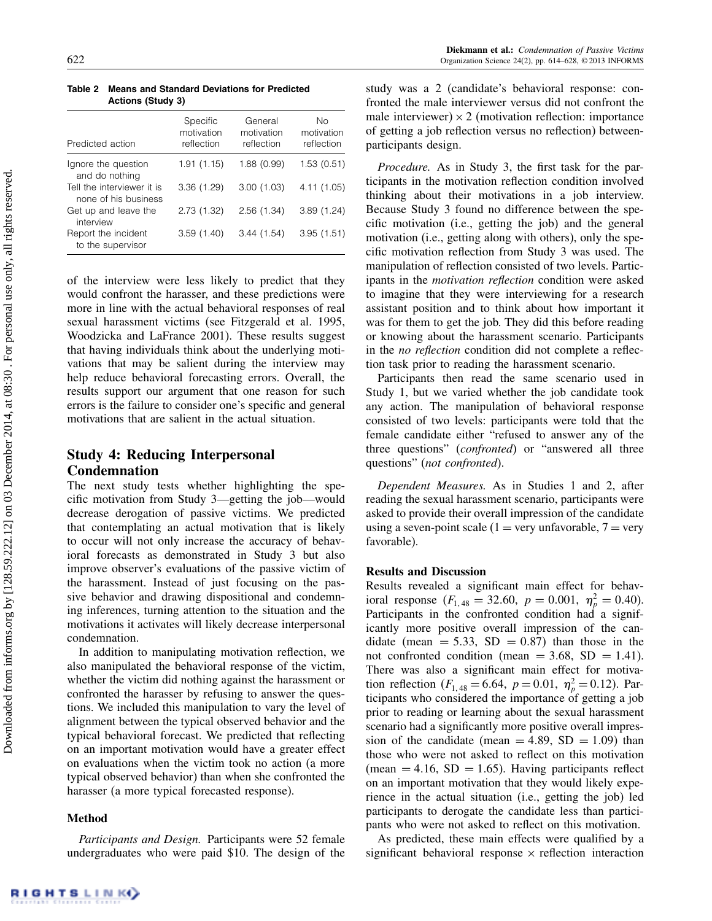| Specific<br>motivation<br>reflection | General<br>motivation<br>reflection | No<br>motivation<br>reflection |
|--------------------------------------|-------------------------------------|--------------------------------|
| 1.91(1.15)                           | 1.88(0.99)                          | 1.53(0.51)                     |
| 3.36(1.29)                           | 3.00(1.03)                          | 4.11 (1.05)                    |
| 2.73(1.32)                           | 2.56(1.34)                          | 3.89(1.24)                     |
| 3.59(1.40)                           | 3.44(1.54)                          | 3.95(1.51)                     |
|                                      |                                     |                                |

Table 2 Means and Standard Deviations for Predicted Actions (Study 3)

of the interview were less likely to predict that they would confront the harasser, and these predictions were more in line with the actual behavioral responses of real sexual harassment victims (see Fitzgerald et al. 1995, Woodzicka and LaFrance 2001). These results suggest that having individuals think about the underlying motivations that may be salient during the interview may help reduce behavioral forecasting errors. Overall, the results support our argument that one reason for such errors is the failure to consider one's specific and general motivations that are salient in the actual situation.

# Study 4: Reducing Interpersonal Condemnation

The next study tests whether highlighting the specific motivation from Study 3—getting the job—would decrease derogation of passive victims. We predicted that contemplating an actual motivation that is likely to occur will not only increase the accuracy of behavioral forecasts as demonstrated in Study 3 but also improve observer's evaluations of the passive victim of the harassment. Instead of just focusing on the passive behavior and drawing dispositional and condemning inferences, turning attention to the situation and the motivations it activates will likely decrease interpersonal condemnation.

In addition to manipulating motivation reflection, we also manipulated the behavioral response of the victim, whether the victim did nothing against the harassment or confronted the harasser by refusing to answer the questions. We included this manipulation to vary the level of alignment between the typical observed behavior and the typical behavioral forecast. We predicted that reflecting on an important motivation would have a greater effect on evaluations when the victim took no action (a more typical observed behavior) than when she confronted the harasser (a more typical forecasted response).

#### Method

Participants and Design. Participants were 52 female undergraduates who were paid \$10. The design of the study was a 2 (candidate's behavioral response: confronted the male interviewer versus did not confront the male interviewer)  $\times$  2 (motivation reflection: importance of getting a job reflection versus no reflection) betweenparticipants design.

Procedure. As in Study 3, the first task for the participants in the motivation reflection condition involved thinking about their motivations in a job interview. Because Study 3 found no difference between the specific motivation (i.e., getting the job) and the general motivation (i.e., getting along with others), only the specific motivation reflection from Study 3 was used. The manipulation of reflection consisted of two levels. Participants in the *motivation reflection* condition were asked to imagine that they were interviewing for a research assistant position and to think about how important it was for them to get the job. They did this before reading or knowing about the harassment scenario. Participants in the *no reflection* condition did not complete a reflection task prior to reading the harassment scenario.

Participants then read the same scenario used in Study 1, but we varied whether the job candidate took any action. The manipulation of behavioral response consisted of two levels: participants were told that the female candidate either "refused to answer any of the three questions" (confronted) or "answered all three questions" (not confronted).

Dependent Measures. As in Studies 1 and 2, after reading the sexual harassment scenario, participants were asked to provide their overall impression of the candidate using a seven-point scale (1 = very unfavorable,  $7 = \text{very}$ favorable).

## Results and Discussion

Results revealed a significant main effect for behavioral response  $(F_{1,48} = 32.60, p = 0.001, \eta_p^2 = 0.40)$ . Participants in the confronted condition had a significantly more positive overall impression of the candidate (mean  $= 5.33$ , SD  $= 0.87$ ) than those in the not confronted condition (mean  $= 3.68$ , SD  $= 1.41$ ). There was also a significant main effect for motivation reflection ( $F_{1,48} = 6.64$ ,  $p = 0.01$ ,  $\eta_p^2 = 0.12$ ). Participants who considered the importance of getting a job prior to reading or learning about the sexual harassment scenario had a significantly more positive overall impression of the candidate (mean  $= 4.89$ , SD  $= 1.09$ ) than those who were not asked to reflect on this motivation (mean  $= 4.16$ , SD  $= 1.65$ ). Having participants reflect on an important motivation that they would likely experience in the actual situation (i.e., getting the job) led participants to derogate the candidate less than participants who were not asked to reflect on this motivation.

As predicted, these main effects were qualified by a significant behavioral response  $\times$  reflection interaction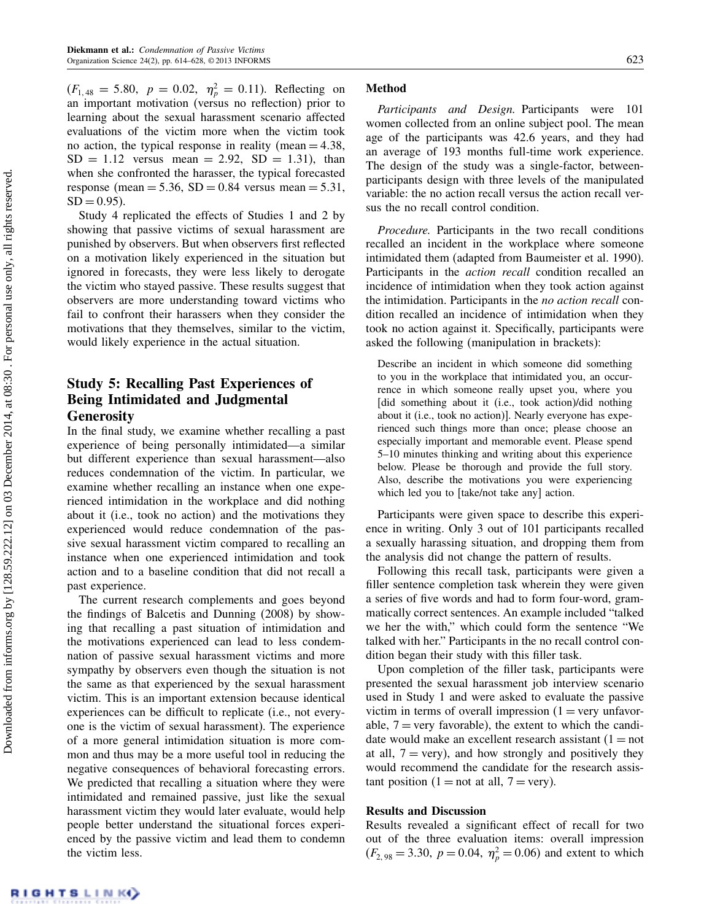$(F_{1,48} = 5.80, p = 0.02, \eta_p^2 = 0.11)$ . Reflecting on an important motivation (versus no reflection) prior to learning about the sexual harassment scenario affected evaluations of the victim more when the victim took no action, the typical response in reality (mean  $= 4.38$ ,  $SD = 1.12$  versus mean = 2.92,  $SD = 1.31$ ), than when she confronted the harasser, the typical forecasted response (mean = 5.36, SD = 0.84 versus mean = 5.31,  $SD = 0.95$ ).

Study 4 replicated the effects of Studies 1 and 2 by showing that passive victims of sexual harassment are punished by observers. But when observers first reflected on a motivation likely experienced in the situation but ignored in forecasts, they were less likely to derogate the victim who stayed passive. These results suggest that observers are more understanding toward victims who fail to confront their harassers when they consider the motivations that they themselves, similar to the victim, would likely experience in the actual situation.

# Study 5: Recalling Past Experiences of Being Intimidated and Judgmental Generosity

In the final study, we examine whether recalling a past experience of being personally intimidated—a similar but different experience than sexual harassment—also reduces condemnation of the victim. In particular, we examine whether recalling an instance when one experienced intimidation in the workplace and did nothing about it (i.e., took no action) and the motivations they experienced would reduce condemnation of the passive sexual harassment victim compared to recalling an instance when one experienced intimidation and took action and to a baseline condition that did not recall a past experience.

The current research complements and goes beyond the findings of Balcetis and Dunning (2008) by showing that recalling a past situation of intimidation and the motivations experienced can lead to less condemnation of passive sexual harassment victims and more sympathy by observers even though the situation is not the same as that experienced by the sexual harassment victim. This is an important extension because identical experiences can be difficult to replicate (i.e., not everyone is the victim of sexual harassment). The experience of a more general intimidation situation is more common and thus may be a more useful tool in reducing the negative consequences of behavioral forecasting errors. We predicted that recalling a situation where they were intimidated and remained passive, just like the sexual harassment victim they would later evaluate, would help people better understand the situational forces experienced by the passive victim and lead them to condemn the victim less.

# Method

Participants and Design. Participants were 101 women collected from an online subject pool. The mean age of the participants was 42.6 years, and they had an average of 193 months full-time work experience. The design of the study was a single-factor, betweenparticipants design with three levels of the manipulated variable: the no action recall versus the action recall versus the no recall control condition.

Procedure. Participants in the two recall conditions recalled an incident in the workplace where someone intimidated them (adapted from Baumeister et al. 1990). Participants in the *action recall* condition recalled an incidence of intimidation when they took action against the intimidation. Participants in the *no action recall* condition recalled an incidence of intimidation when they took no action against it. Specifically, participants were asked the following (manipulation in brackets):

Describe an incident in which someone did something to you in the workplace that intimidated you, an occurrence in which someone really upset you, where you [did something about it (i.e., took action)/did nothing about it (i.e., took no action)]. Nearly everyone has experienced such things more than once; please choose an especially important and memorable event. Please spend 5–10 minutes thinking and writing about this experience below. Please be thorough and provide the full story. Also, describe the motivations you were experiencing which led you to [take/not take any] action.

Participants were given space to describe this experience in writing. Only 3 out of 101 participants recalled a sexually harassing situation, and dropping them from the analysis did not change the pattern of results.

Following this recall task, participants were given a filler sentence completion task wherein they were given a series of five words and had to form four-word, grammatically correct sentences. An example included "talked we her the with," which could form the sentence "We talked with her." Participants in the no recall control condition began their study with this filler task.

Upon completion of the filler task, participants were presented the sexual harassment job interview scenario used in Study 1 and were asked to evaluate the passive victim in terms of overall impression  $(1 = \text{very unfavor-})$ able,  $7 = \text{very favorable}$ , the extent to which the candidate would make an excellent research assistant  $(1 = not$ at all,  $7 = \text{very}$ , and how strongly and positively they would recommend the candidate for the research assistant position (1 = not at all, 7 = very).

# Results and Discussion

Results revealed a significant effect of recall for two out of the three evaluation items: overall impression  $(F_{2,98} = 3.30, p = 0.04, \eta_p^2 = 0.06)$  and extent to which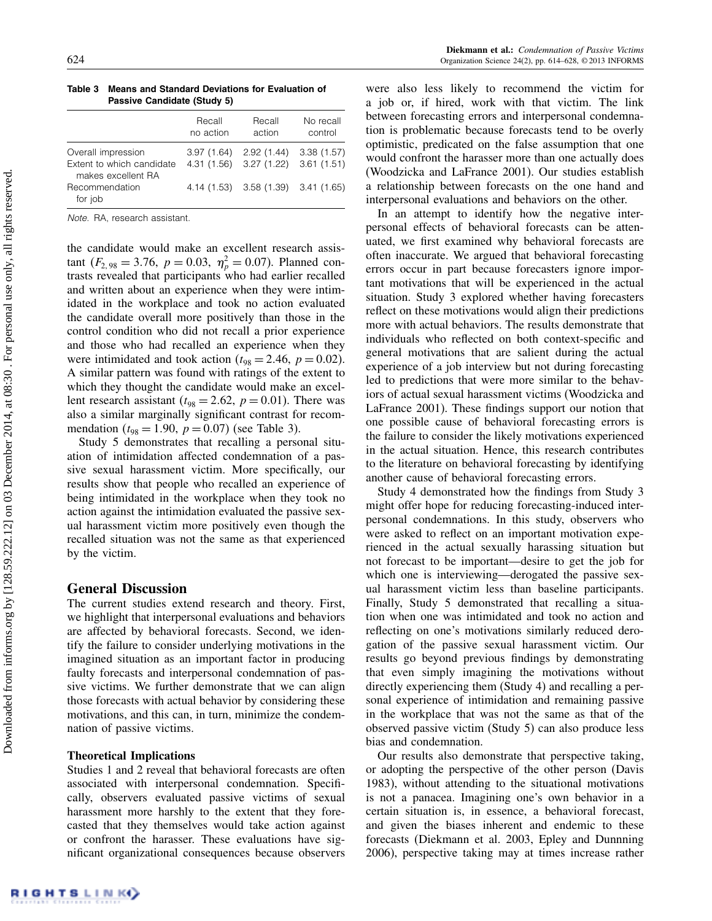|                                                                       | Recall<br>no action | Recall<br>action                                     | No recall<br>control      |
|-----------------------------------------------------------------------|---------------------|------------------------------------------------------|---------------------------|
| Overall impression<br>Extent to which candidate<br>makes excellent RA |                     | $3.97(1.64)$ $2.92(1.44)$<br>4.31 (1.56) 3.27 (1.22) | 3.38 (1.57)<br>3.61(1.51) |
| Recommendation<br>for job                                             |                     | 4.14 (1.53) 3.58 (1.39) 3.41 (1.65)                  |                           |

Table 3 Means and Standard Deviations for Evaluation of Passive Candidate (Study 5)

Note. RA, research assistant.

the candidate would make an excellent research assistant ( $F_{2,98} = 3.76$ ,  $p = 0.03$ ,  $\eta_p^2 = 0.07$ ). Planned contrasts revealed that participants who had earlier recalled and written about an experience when they were intimidated in the workplace and took no action evaluated the candidate overall more positively than those in the control condition who did not recall a prior experience and those who had recalled an experience when they were intimidated and took action ( $t_{98} = 2.46$ ,  $p = 0.02$ ). A similar pattern was found with ratings of the extent to which they thought the candidate would make an excellent research assistant ( $t_{98} = 2.62$ ,  $p = 0.01$ ). There was also a similar marginally significant contrast for recommendation ( $t_{98} = 1.90$ ,  $p = 0.07$ ) (see Table 3).

Study 5 demonstrates that recalling a personal situation of intimidation affected condemnation of a passive sexual harassment victim. More specifically, our results show that people who recalled an experience of being intimidated in the workplace when they took no action against the intimidation evaluated the passive sexual harassment victim more positively even though the recalled situation was not the same as that experienced by the victim.

## General Discussion

The current studies extend research and theory. First, we highlight that interpersonal evaluations and behaviors are affected by behavioral forecasts. Second, we identify the failure to consider underlying motivations in the imagined situation as an important factor in producing faulty forecasts and interpersonal condemnation of passive victims. We further demonstrate that we can align those forecasts with actual behavior by considering these motivations, and this can, in turn, minimize the condemnation of passive victims.

## Theoretical Implications

Studies 1 and 2 reveal that behavioral forecasts are often associated with interpersonal condemnation. Specifically, observers evaluated passive victims of sexual harassment more harshly to the extent that they forecasted that they themselves would take action against or confront the harasser. These evaluations have significant organizational consequences because observers were also less likely to recommend the victim for a job or, if hired, work with that victim. The link between forecasting errors and interpersonal condemnation is problematic because forecasts tend to be overly optimistic, predicated on the false assumption that one would confront the harasser more than one actually does (Woodzicka and LaFrance 2001). Our studies establish a relationship between forecasts on the one hand and interpersonal evaluations and behaviors on the other.

In an attempt to identify how the negative interpersonal effects of behavioral forecasts can be attenuated, we first examined why behavioral forecasts are often inaccurate. We argued that behavioral forecasting errors occur in part because forecasters ignore important motivations that will be experienced in the actual situation. Study 3 explored whether having forecasters reflect on these motivations would align their predictions more with actual behaviors. The results demonstrate that individuals who reflected on both context-specific and general motivations that are salient during the actual experience of a job interview but not during forecasting led to predictions that were more similar to the behaviors of actual sexual harassment victims (Woodzicka and LaFrance 2001). These findings support our notion that one possible cause of behavioral forecasting errors is the failure to consider the likely motivations experienced in the actual situation. Hence, this research contributes to the literature on behavioral forecasting by identifying another cause of behavioral forecasting errors.

Study 4 demonstrated how the findings from Study 3 might offer hope for reducing forecasting-induced interpersonal condemnations. In this study, observers who were asked to reflect on an important motivation experienced in the actual sexually harassing situation but not forecast to be important—desire to get the job for which one is interviewing—derogated the passive sexual harassment victim less than baseline participants. Finally, Study 5 demonstrated that recalling a situation when one was intimidated and took no action and reflecting on one's motivations similarly reduced derogation of the passive sexual harassment victim. Our results go beyond previous findings by demonstrating that even simply imagining the motivations without directly experiencing them (Study 4) and recalling a personal experience of intimidation and remaining passive in the workplace that was not the same as that of the observed passive victim (Study 5) can also produce less bias and condemnation.

Our results also demonstrate that perspective taking, or adopting the perspective of the other person (Davis 1983), without attending to the situational motivations is not a panacea. Imagining one's own behavior in a certain situation is, in essence, a behavioral forecast, and given the biases inherent and endemic to these forecasts (Diekmann et al. 2003, Epley and Dunnning 2006), perspective taking may at times increase rather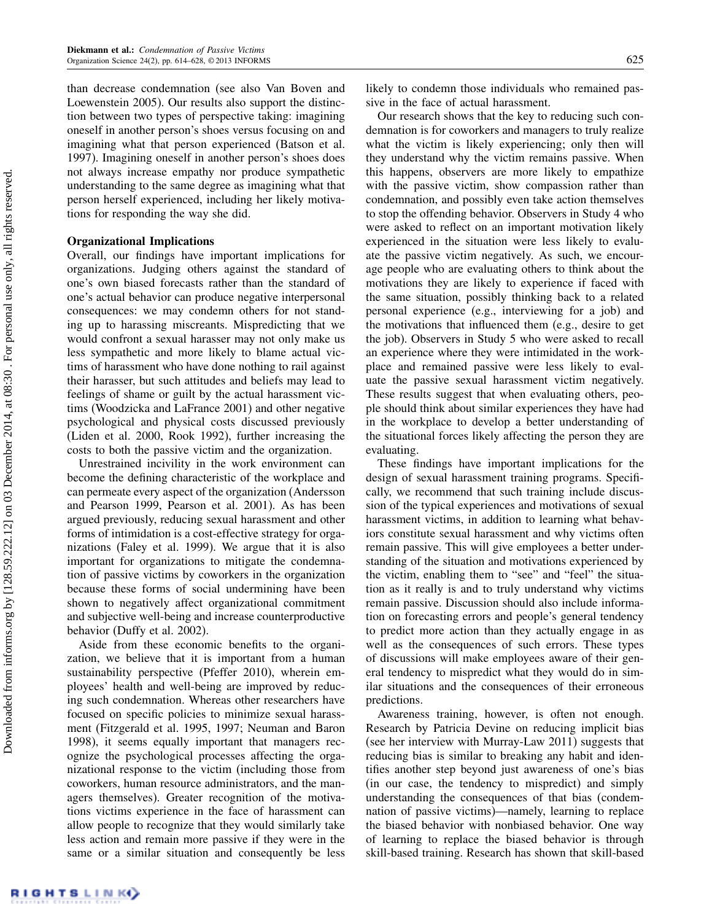than decrease condemnation (see also Van Boven and Loewenstein 2005). Our results also support the distinction between two types of perspective taking: imagining oneself in another person's shoes versus focusing on and imagining what that person experienced (Batson et al. 1997). Imagining oneself in another person's shoes does not always increase empathy nor produce sympathetic understanding to the same degree as imagining what that person herself experienced, including her likely motivations for responding the way she did.

#### Organizational Implications

Overall, our findings have important implications for organizations. Judging others against the standard of one's own biased forecasts rather than the standard of one's actual behavior can produce negative interpersonal consequences: we may condemn others for not standing up to harassing miscreants. Mispredicting that we would confront a sexual harasser may not only make us less sympathetic and more likely to blame actual victims of harassment who have done nothing to rail against their harasser, but such attitudes and beliefs may lead to feelings of shame or guilt by the actual harassment victims (Woodzicka and LaFrance 2001) and other negative psychological and physical costs discussed previously (Liden et al. 2000, Rook 1992), further increasing the costs to both the passive victim and the organization.

Unrestrained incivility in the work environment can become the defining characteristic of the workplace and can permeate every aspect of the organization (Andersson and Pearson 1999, Pearson et al. 2001). As has been argued previously, reducing sexual harassment and other forms of intimidation is a cost-effective strategy for organizations (Faley et al. 1999). We argue that it is also important for organizations to mitigate the condemnation of passive victims by coworkers in the organization because these forms of social undermining have been shown to negatively affect organizational commitment and subjective well-being and increase counterproductive behavior (Duffy et al. 2002).

Aside from these economic benefits to the organization, we believe that it is important from a human sustainability perspective (Pfeffer 2010), wherein employees' health and well-being are improved by reducing such condemnation. Whereas other researchers have focused on specific policies to minimize sexual harassment (Fitzgerald et al. 1995, 1997; Neuman and Baron 1998), it seems equally important that managers recognize the psychological processes affecting the organizational response to the victim (including those from coworkers, human resource administrators, and the managers themselves). Greater recognition of the motivations victims experience in the face of harassment can allow people to recognize that they would similarly take less action and remain more passive if they were in the same or a similar situation and consequently be less

Our research shows that the key to reducing such condemnation is for coworkers and managers to truly realize what the victim is likely experiencing; only then will they understand why the victim remains passive. When this happens, observers are more likely to empathize with the passive victim, show compassion rather than condemnation, and possibly even take action themselves to stop the offending behavior. Observers in Study 4 who were asked to reflect on an important motivation likely experienced in the situation were less likely to evaluate the passive victim negatively. As such, we encourage people who are evaluating others to think about the motivations they are likely to experience if faced with the same situation, possibly thinking back to a related personal experience (e.g., interviewing for a job) and the motivations that influenced them (e.g., desire to get the job). Observers in Study 5 who were asked to recall an experience where they were intimidated in the workplace and remained passive were less likely to evaluate the passive sexual harassment victim negatively. These results suggest that when evaluating others, people should think about similar experiences they have had in the workplace to develop a better understanding of the situational forces likely affecting the person they are evaluating.

These findings have important implications for the design of sexual harassment training programs. Specifically, we recommend that such training include discussion of the typical experiences and motivations of sexual harassment victims, in addition to learning what behaviors constitute sexual harassment and why victims often remain passive. This will give employees a better understanding of the situation and motivations experienced by the victim, enabling them to "see" and "feel" the situation as it really is and to truly understand why victims remain passive. Discussion should also include information on forecasting errors and people's general tendency to predict more action than they actually engage in as well as the consequences of such errors. These types of discussions will make employees aware of their general tendency to mispredict what they would do in similar situations and the consequences of their erroneous predictions.

Awareness training, however, is often not enough. Research by Patricia Devine on reducing implicit bias (see her interview with Murray-Law 2011) suggests that reducing bias is similar to breaking any habit and identifies another step beyond just awareness of one's bias (in our case, the tendency to mispredict) and simply understanding the consequences of that bias (condemnation of passive victims)—namely, learning to replace the biased behavior with nonbiased behavior. One way of learning to replace the biased behavior is through skill-based training. Research has shown that skill-based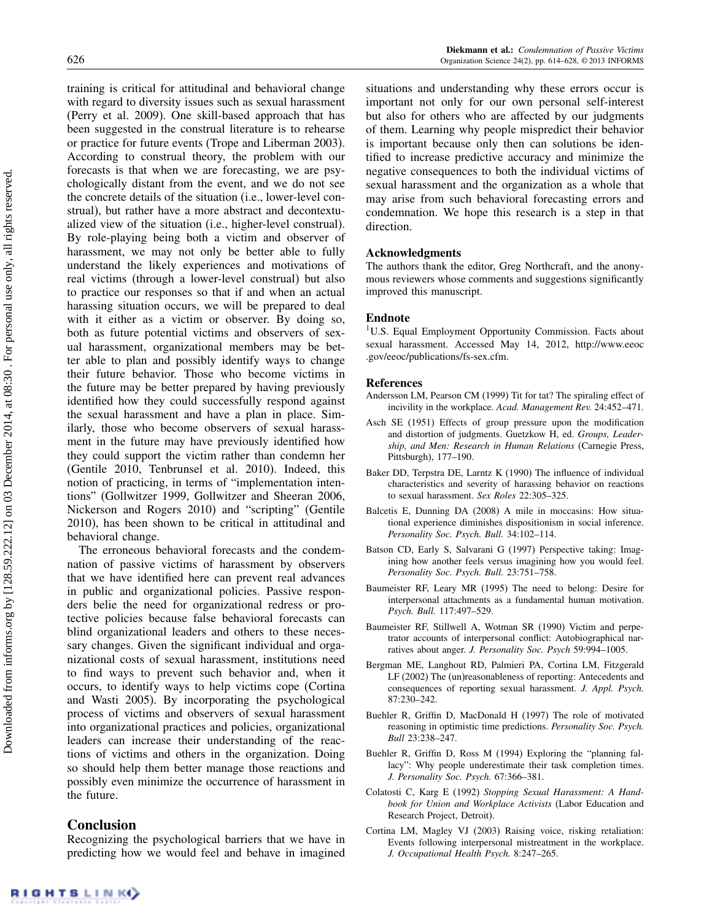training is critical for attitudinal and behavioral change with regard to diversity issues such as sexual harassment (Perry et al. 2009). One skill-based approach that has been suggested in the construal literature is to rehearse or practice for future events (Trope and Liberman 2003). According to construal theory, the problem with our forecasts is that when we are forecasting, we are psychologically distant from the event, and we do not see the concrete details of the situation (i.e., lower-level construal), but rather have a more abstract and decontextualized view of the situation (i.e., higher-level construal). By role-playing being both a victim and observer of harassment, we may not only be better able to fully understand the likely experiences and motivations of real victims (through a lower-level construal) but also to practice our responses so that if and when an actual harassing situation occurs, we will be prepared to deal with it either as a victim or observer. By doing so, both as future potential victims and observers of sexual harassment, organizational members may be better able to plan and possibly identify ways to change their future behavior. Those who become victims in the future may be better prepared by having previously identified how they could successfully respond against the sexual harassment and have a plan in place. Similarly, those who become observers of sexual harassment in the future may have previously identified how they could support the victim rather than condemn her (Gentile 2010, Tenbrunsel et al. 2010). Indeed, this notion of practicing, in terms of "implementation intentions" (Gollwitzer 1999, Gollwitzer and Sheeran 2006, Nickerson and Rogers 2010) and "scripting" (Gentile 2010), has been shown to be critical in attitudinal and behavioral change.

The erroneous behavioral forecasts and the condemnation of passive victims of harassment by observers that we have identified here can prevent real advances in public and organizational policies. Passive responders belie the need for organizational redress or protective policies because false behavioral forecasts can blind organizational leaders and others to these necessary changes. Given the significant individual and organizational costs of sexual harassment, institutions need to find ways to prevent such behavior and, when it occurs, to identify ways to help victims cope (Cortina and Wasti 2005). By incorporating the psychological process of victims and observers of sexual harassment into organizational practices and policies, organizational leaders can increase their understanding of the reactions of victims and others in the organization. Doing so should help them better manage those reactions and possibly even minimize the occurrence of harassment in the future.

# Conclusion

Recognizing the psychological barriers that we have in predicting how we would feel and behave in imagined

situations and understanding why these errors occur is important not only for our own personal self-interest but also for others who are affected by our judgments of them. Learning why people mispredict their behavior is important because only then can solutions be identified to increase predictive accuracy and minimize the negative consequences to both the individual victims of sexual harassment and the organization as a whole that may arise from such behavioral forecasting errors and condemnation. We hope this research is a step in that direction.

#### Acknowledgments

The authors thank the editor, Greg Northcraft, and the anonymous reviewers whose comments and suggestions significantly improved this manuscript.

#### Endnote

<sup>1</sup>U.S. Equal Employment Opportunity Commission. Facts about sexual harassment. Accessed May 14, 2012, http://www.eeoc .gov/eeoc/publications/fs-sex.cfm.

#### References

- Andersson LM, Pearson CM (1999) Tit for tat? The spiraling effect of incivility in the workplace. Acad. Management Rev. 24:452–471.
- Asch SE (1951) Effects of group pressure upon the modification and distortion of judgments. Guetzkow H, ed. Groups, Leadership, and Men: Research in Human Relations (Carnegie Press, Pittsburgh), 177–190.
- Baker DD, Terpstra DE, Larntz K (1990) The influence of individual characteristics and severity of harassing behavior on reactions to sexual harassment. Sex Roles 22:305–325.
- Balcetis E, Dunning DA (2008) A mile in moccasins: How situational experience diminishes dispositionism in social inference. Personality Soc. Psych. Bull. 34:102–114.
- Batson CD, Early S, Salvarani G (1997) Perspective taking: Imagining how another feels versus imagining how you would feel. Personality Soc. Psych. Bull. 23:751–758.
- Baumeister RF, Leary MR (1995) The need to belong: Desire for interpersonal attachments as a fundamental human motivation. Psych. Bull. 117:497–529.
- Baumeister RF, Stillwell A, Wotman SR (1990) Victim and perpetrator accounts of interpersonal conflict: Autobiographical narratives about anger. J. Personality Soc. Psych 59:994–1005.
- Bergman ME, Langhout RD, Palmieri PA, Cortina LM, Fitzgerald LF (2002) The (un)reasonableness of reporting: Antecedents and consequences of reporting sexual harassment. J. Appl. Psych. 87:230–242.
- Buehler R, Griffin D, MacDonald H (1997) The role of motivated reasoning in optimistic time predictions. Personality Soc. Psych. Bull 23:238–247.
- Buehler R, Griffin D, Ross M (1994) Exploring the "planning fallacy": Why people underestimate their task completion times. J. Personality Soc. Psych. 67:366–381.
- Colatosti C, Karg E (1992) Stopping Sexual Harassment: A Handbook for Union and Workplace Activists (Labor Education and Research Project, Detroit).
- Cortina LM, Magley VJ (2003) Raising voice, risking retaliation: Events following interpersonal mistreatment in the workplace. J. Occupational Health Psych. 8:247–265.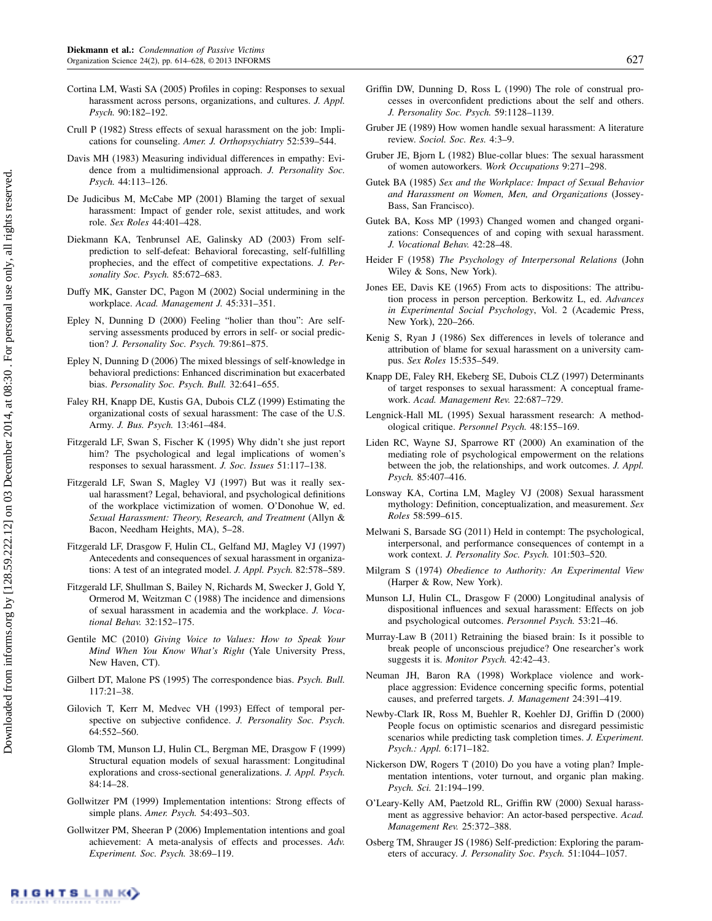- Cortina LM, Wasti SA (2005) Profiles in coping: Responses to sexual harassment across persons, organizations, and cultures. J. Appl. Psych. 90:182–192.
- Crull P (1982) Stress effects of sexual harassment on the job: Implications for counseling. Amer. J. Orthopsychiatry 52:539–544.
- Davis MH (1983) Measuring individual differences in empathy: Evidence from a multidimensional approach. J. Personality Soc. Psych. 44:113–126.
- De Judicibus M, McCabe MP (2001) Blaming the target of sexual harassment: Impact of gender role, sexist attitudes, and work role. Sex Roles 44:401–428.
- Diekmann KA, Tenbrunsel AE, Galinsky AD (2003) From selfprediction to self-defeat: Behavioral forecasting, self-fulfilling prophecies, and the effect of competitive expectations. J. Personality Soc. Psych. 85:672–683.
- Duffy MK, Ganster DC, Pagon M (2002) Social undermining in the workplace. Acad. Management J. 45:331–351.
- Epley N, Dunning D (2000) Feeling "holier than thou": Are selfserving assessments produced by errors in self- or social prediction? J. Personality Soc. Psych. 79:861–875.
- Epley N, Dunning D (2006) The mixed blessings of self-knowledge in behavioral predictions: Enhanced discrimination but exacerbated bias. Personality Soc. Psych. Bull. 32:641–655.
- Faley RH, Knapp DE, Kustis GA, Dubois CLZ (1999) Estimating the organizational costs of sexual harassment: The case of the U.S. Army. J. Bus. Psych. 13:461–484.
- Fitzgerald LF, Swan S, Fischer K (1995) Why didn't she just report him? The psychological and legal implications of women's responses to sexual harassment. J. Soc. Issues 51:117–138.
- Fitzgerald LF, Swan S, Magley VJ (1997) But was it really sexual harassment? Legal, behavioral, and psychological definitions of the workplace victimization of women. O'Donohue W, ed. Sexual Harassment: Theory, Research, and Treatment (Allyn & Bacon, Needham Heights, MA), 5–28.
- Fitzgerald LF, Drasgow F, Hulin CL, Gelfand MJ, Magley VJ (1997) Antecedents and consequences of sexual harassment in organizations: A test of an integrated model. J. Appl. Psych. 82:578–589.
- Fitzgerald LF, Shullman S, Bailey N, Richards M, Swecker J, Gold Y, Ormerod M, Weitzman C (1988) The incidence and dimensions of sexual harassment in academia and the workplace. J. Vocational Behav. 32:152–175.
- Gentile MC (2010) Giving Voice to Values: How to Speak Your Mind When You Know What's Right (Yale University Press, New Haven, CT).
- Gilbert DT, Malone PS (1995) The correspondence bias. Psych. Bull. 117:21–38.
- Gilovich T, Kerr M, Medvec VH (1993) Effect of temporal perspective on subjective confidence. J. Personality Soc. Psych. 64:552–560.
- Glomb TM, Munson LJ, Hulin CL, Bergman ME, Drasgow F (1999) Structural equation models of sexual harassment: Longitudinal explorations and cross-sectional generalizations. J. Appl. Psych. 84:14–28.
- Gollwitzer PM (1999) Implementation intentions: Strong effects of simple plans. Amer. Psych. 54:493–503.
- Gollwitzer PM, Sheeran P (2006) Implementation intentions and goal achievement: A meta-analysis of effects and processes. Adv. Experiment. Soc. Psych. 38:69–119.
- Griffin DW, Dunning D, Ross L (1990) The role of construal processes in overconfident predictions about the self and others. J. Personality Soc. Psych. 59:1128–1139.
- Gruber JE (1989) How women handle sexual harassment: A literature review. Sociol. Soc. Res. 4:3–9.
- Gruber JE, Bjorn L (1982) Blue-collar blues: The sexual harassment of women autoworkers. Work Occupations 9:271–298.
- Gutek BA (1985) Sex and the Workplace: Impact of Sexual Behavior and Harassment on Women, Men, and Organizations (Jossey-Bass, San Francisco).
- Gutek BA, Koss MP (1993) Changed women and changed organizations: Consequences of and coping with sexual harassment. J. Vocational Behav. 42:28–48.
- Heider F (1958) The Psychology of Interpersonal Relations (John Wiley & Sons, New York).
- Jones EE, Davis KE (1965) From acts to dispositions: The attribution process in person perception. Berkowitz L, ed. Advances in Experimental Social Psychology, Vol. 2 (Academic Press, New York), 220–266.
- Kenig S, Ryan J (1986) Sex differences in levels of tolerance and attribution of blame for sexual harassment on a university campus. Sex Roles 15:535–549.
- Knapp DE, Faley RH, Ekeberg SE, Dubois CLZ (1997) Determinants of target responses to sexual harassment: A conceptual framework. Acad. Management Rev. 22:687–729.
- Lengnick-Hall ML (1995) Sexual harassment research: A methodological critique. Personnel Psych. 48:155–169.
- Liden RC, Wayne SJ, Sparrowe RT (2000) An examination of the mediating role of psychological empowerment on the relations between the job, the relationships, and work outcomes. J. Appl. Psych. 85:407–416.
- Lonsway KA, Cortina LM, Magley VJ (2008) Sexual harassment mythology: Definition, conceptualization, and measurement. Sex Roles 58:599–615.
- Melwani S, Barsade SG (2011) Held in contempt: The psychological, interpersonal, and performance consequences of contempt in a work context. J. Personality Soc. Psych. 101:503–520.
- Milgram S (1974) Obedience to Authority: An Experimental View (Harper & Row, New York).
- Munson LJ, Hulin CL, Drasgow F (2000) Longitudinal analysis of dispositional influences and sexual harassment: Effects on job and psychological outcomes. Personnel Psych. 53:21–46.
- Murray-Law B (2011) Retraining the biased brain: Is it possible to break people of unconscious prejudice? One researcher's work suggests it is. Monitor Psych. 42:42–43.
- Neuman JH, Baron RA (1998) Workplace violence and workplace aggression: Evidence concerning specific forms, potential causes, and preferred targets. J. Management 24:391–419.
- Newby-Clark IR, Ross M, Buehler R, Koehler DJ, Griffin D (2000) People focus on optimistic scenarios and disregard pessimistic scenarios while predicting task completion times. J. Experiment. Psych.: Appl. 6:171–182.
- Nickerson DW, Rogers T (2010) Do you have a voting plan? Implementation intentions, voter turnout, and organic plan making. Psych. Sci. 21:194–199.
- O'Leary-Kelly AM, Paetzold RL, Griffin RW (2000) Sexual harassment as aggressive behavior: An actor-based perspective. Acad. Management Rev. 25:372–388.
- Osberg TM, Shrauger JS (1986) Self-prediction: Exploring the parameters of accuracy. J. Personality Soc. Psych. 51:1044–1057.